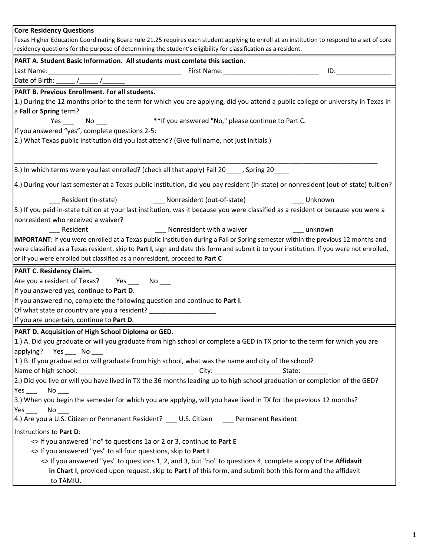| <b>Core Residency Questions</b>                                                                                                             |
|---------------------------------------------------------------------------------------------------------------------------------------------|
| Texas Higher Education Coordinating Board rule 21.25 requires each student applying to enroll at an institution to respond to a set of core |
| residency questions for the purpose of determining the student's eligibility for classification as a resident.                              |
| PART A. Student Basic Information. All students must comlete this section.                                                                  |
| $ID:$ and $ID:$ and $ID:$                                                                                                                   |
| Date of Birth:                                                                                                                              |
| PART B. Previous Enrollment. For all students.                                                                                              |
| 1.) During the 12 months prior to the term for which you are applying, did you attend a public college or university in Texas in            |
| a Fall or Spring term?                                                                                                                      |
| ** If you answered "No," please continue to Part C.<br>$No$ and $\overline{\phantom{a}}$<br>Yes                                             |
| If you answered "yes", complete questions 2-5:                                                                                              |
| (2.) What Texas public institution did you last attend? (Give full name, not just initials.)                                                |
|                                                                                                                                             |
|                                                                                                                                             |
| [3.] In which terms were you last enrolled? (check all that apply) Fall 20_____, Spring 20____                                              |
| 4.) During your last semester at a Texas public institution, did you pay resident (in-state) or nonresident (out-of-state) tuition?         |
| Unknown                                                                                                                                     |
| 5.) If you paid in-state tuition at your last institution, was it because you were classified as a resident or because you were a           |
| nonresident who received a waiver?                                                                                                          |
| Resident<br>Nonresident with a waiver<br><b>1999</b> unknown                                                                                |
| IMPORTANT: If you were enrolled at a Texas public institution during a Fall or Spring semester within the previous 12 months and            |
| were classified as a Texas resident, skip to Part I, sign and date this form and submit it to your institution. If you were not enrolled,   |
| or if you were enrolled but classified as a nonresident, proceed to Part C                                                                  |
| <b>PART C. Residency Claim.</b>                                                                                                             |
| Are you a resident of Texas? Yes ______ No ____                                                                                             |
| If you answered yes, continue to Part D.                                                                                                    |
| If you answered no, complete the following question and continue to Part I.                                                                 |
| Of what state or country are you a resident?                                                                                                |
| If you are uncertain, continue to Part D.                                                                                                   |
| PART D. Acquisition of High School Diploma or GED.                                                                                          |
| 1.) A. Did you graduate or will you graduate from high school or complete a GED in TX prior to the term for which you are                   |
| applying? Yes No                                                                                                                            |
| 1.) B. If you graduated or will graduate from high school, what was the name and city of the school?                                        |
|                                                                                                                                             |
| 2.) Did you live or will you have lived in TX the 36 months leading up to high school graduation or completion of the GED?                  |
| $No$ <sub>___</sub>                                                                                                                         |
| 3.) When you begin the semester for which you are applying, will you have lived in TX for the previous 12 months?                           |
| $Yes$ No ___                                                                                                                                |
| 4.) Are you a U.S. Citizen or Permanent Resident? ___ U.S. Citizen ____ Permanent Resident                                                  |
| Instructions to Part D:                                                                                                                     |
| <> If you answered "no" to questions 1a or 2 or 3, continue to Part E                                                                       |
| <> If you answered "yes" to all four questions, skip to Part I                                                                              |
| <> If you answered "yes" to questions 1, 2, and 3, but "no" to questions 4, complete a copy of the Affidavit                                |
| in Chart I, provided upon request, skip to Part I of this form, and submit both this form and the affidavit                                 |
| to TAMIU.                                                                                                                                   |
|                                                                                                                                             |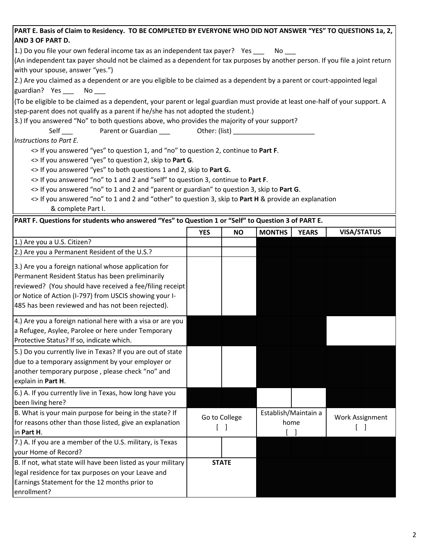| PART E. Basis of Claim to Residency. TO BE COMPLETED BY EVERYONE WHO DID NOT ANSWER "YES" TO QUESTIONS 1a, 2,                 |                                                                                              |              |               |                      |                    |  |
|-------------------------------------------------------------------------------------------------------------------------------|----------------------------------------------------------------------------------------------|--------------|---------------|----------------------|--------------------|--|
| AND 3 OF PART D.                                                                                                              |                                                                                              |              |               |                      |                    |  |
| 1.) Do you file your own federal income tax as an independent tax payer? Yes No                                               |                                                                                              |              |               |                      |                    |  |
| (An independent tax payer should not be claimed as a dependent for tax purposes by another person. If you file a joint return |                                                                                              |              |               |                      |                    |  |
| with your spouse, answer "yes.")                                                                                              |                                                                                              |              |               |                      |                    |  |
| [2.] Are you claimed as a dependent or are you eligible to be claimed as a dependent by a parent or court-appointed legal     |                                                                                              |              |               |                      |                    |  |
| guardian? Yes ___ No___                                                                                                       |                                                                                              |              |               |                      |                    |  |
| (To be eligible to be claimed as a dependent, your parent or legal guardian must provide at least one-half of your support. A |                                                                                              |              |               |                      |                    |  |
| step-parent does not qualify as a parent if he/she has not adopted the student.)                                              |                                                                                              |              |               |                      |                    |  |
|                                                                                                                               | 3.) If you answered "No" to both questions above, who provides the majority of your support? |              |               |                      |                    |  |
|                                                                                                                               |                                                                                              |              |               |                      |                    |  |
| Instructions to Part E.                                                                                                       |                                                                                              |              |               |                      |                    |  |
| <> If you answered "yes" to question 1, and "no" to question 2, continue to Part F.                                           |                                                                                              |              |               |                      |                    |  |
| <> If you answered "yes" to question 2, skip to Part G.                                                                       |                                                                                              |              |               |                      |                    |  |
| <> If you answered "yes" to both questions 1 and 2, skip to Part G.                                                           |                                                                                              |              |               |                      |                    |  |
| <> If you answered "no" to 1 and 2 and "self" to question 3, continue to Part F.                                              |                                                                                              |              |               |                      |                    |  |
| <> If you answered "no" to 1 and 2 and "parent or guardian" to question 3, skip to Part G.                                    |                                                                                              |              |               |                      |                    |  |
| <> If you answered "no" to 1 and 2 and "other" to question 3, skip to Part H & provide an explanation                         |                                                                                              |              |               |                      |                    |  |
| & complete Part I.                                                                                                            |                                                                                              |              |               |                      |                    |  |
| PART F. Questions for students who answered "Yes" to Question 1 or "Self" to Question 3 of PART E.                            |                                                                                              |              |               |                      |                    |  |
|                                                                                                                               | <b>YES</b>                                                                                   | <b>NO</b>    | <b>MONTHS</b> | <b>YEARS</b>         | <b>VISA/STATUS</b> |  |
| 1.) Are you a U.S. Citizen?                                                                                                   |                                                                                              |              |               |                      |                    |  |
| 2.) Are you a Permanent Resident of the U.S.?                                                                                 |                                                                                              |              |               |                      |                    |  |
| 3.) Are you a foreign national whose application for                                                                          |                                                                                              |              |               |                      |                    |  |
| Permanent Resident Status has been preliminarily                                                                              |                                                                                              |              |               |                      |                    |  |
| reviewed? (You should have received a fee/filing receipt                                                                      |                                                                                              |              |               |                      |                    |  |
| or Notice of Action (I-797) from USCIS showing your I-                                                                        |                                                                                              |              |               |                      |                    |  |
| 485 has been reviewed and has not been rejected).                                                                             |                                                                                              |              |               |                      |                    |  |
| 4.) Are you a foreign national here with a visa or are you                                                                    |                                                                                              |              |               |                      |                    |  |
| a Refugee, Asylee, Parolee or here under Temporary                                                                            |                                                                                              |              |               |                      |                    |  |
| Protective Status? If so, indicate which.                                                                                     |                                                                                              |              |               |                      |                    |  |
|                                                                                                                               |                                                                                              |              |               |                      |                    |  |
| 5.) Do you currently live in Texas? If you are out of state                                                                   |                                                                                              |              |               |                      |                    |  |
| due to a temporary assignment by your employer or                                                                             |                                                                                              |              |               |                      |                    |  |
| another temporary purpose, please check "no" and                                                                              |                                                                                              |              |               |                      |                    |  |
| explain in Part H.                                                                                                            |                                                                                              |              |               |                      |                    |  |
| 6.) A. If you currently live in Texas, how long have you                                                                      |                                                                                              |              |               |                      |                    |  |
| been living here?                                                                                                             |                                                                                              |              |               |                      |                    |  |
| B. What is your main purpose for being in the state? If                                                                       | Go to College<br>$\begin{bmatrix} 1 \end{bmatrix}$                                           |              |               | Establish/Maintain a | Work Assignment    |  |
| for reasons other than those listed, give an explanation                                                                      |                                                                                              |              |               | home                 |                    |  |
| in Part H.                                                                                                                    |                                                                                              |              |               |                      |                    |  |
| 7.) A. If you are a member of the U.S. military, is Texas                                                                     |                                                                                              |              |               |                      |                    |  |
| your Home of Record?                                                                                                          |                                                                                              |              |               |                      |                    |  |
| B. If not, what state will have been listed as your military                                                                  |                                                                                              | <b>STATE</b> |               |                      |                    |  |
| legal residence for tax purposes on your Leave and                                                                            |                                                                                              |              |               |                      |                    |  |
| Earnings Statement for the 12 months prior to                                                                                 |                                                                                              |              |               |                      |                    |  |
| enrollment?                                                                                                                   |                                                                                              |              |               |                      |                    |  |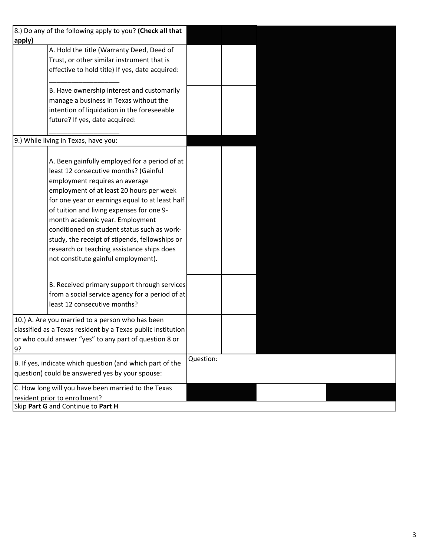|        | 8.) Do any of the following apply to you? (Check all that    |           |  |  |
|--------|--------------------------------------------------------------|-----------|--|--|
| apply) |                                                              |           |  |  |
|        | A. Hold the title (Warranty Deed, Deed of                    |           |  |  |
|        | Trust, or other similar instrument that is                   |           |  |  |
|        | effective to hold title) If yes, date acquired:              |           |  |  |
|        |                                                              |           |  |  |
|        | B. Have ownership interest and customarily                   |           |  |  |
|        | manage a business in Texas without the                       |           |  |  |
|        | intention of liquidation in the foreseeable                  |           |  |  |
|        | future? If yes, date acquired:                               |           |  |  |
|        |                                                              |           |  |  |
|        | 9.) While living in Texas, have you:                         |           |  |  |
|        |                                                              |           |  |  |
|        | A. Been gainfully employed for a period of at                |           |  |  |
|        | least 12 consecutive months? (Gainful                        |           |  |  |
|        | employment requires an average                               |           |  |  |
|        | employment of at least 20 hours per week                     |           |  |  |
|        | for one year or earnings equal to at least half              |           |  |  |
|        | of tuition and living expenses for one 9-                    |           |  |  |
|        | month academic year. Employment                              |           |  |  |
|        | conditioned on student status such as work-                  |           |  |  |
|        | study, the receipt of stipends, fellowships or               |           |  |  |
|        | research or teaching assistance ships does                   |           |  |  |
|        | not constitute gainful employment).                          |           |  |  |
|        |                                                              |           |  |  |
|        |                                                              |           |  |  |
|        | B. Received primary support through services                 |           |  |  |
|        | from a social service agency for a period of at              |           |  |  |
|        | least 12 consecutive months?                                 |           |  |  |
|        | 10.) A. Are you married to a person who has been             |           |  |  |
|        | classified as a Texas resident by a Texas public institution |           |  |  |
|        | or who could answer "yes" to any part of question 8 or       |           |  |  |
| 9?     |                                                              |           |  |  |
|        |                                                              | Question: |  |  |
|        | B. If yes, indicate which question (and which part of the    |           |  |  |
|        | question) could be answered yes by your spouse:              |           |  |  |
|        | C. How long will you have been married to the Texas          |           |  |  |
|        | resident prior to enrollment?                                |           |  |  |
|        | Skip Part G and Continue to Part H                           |           |  |  |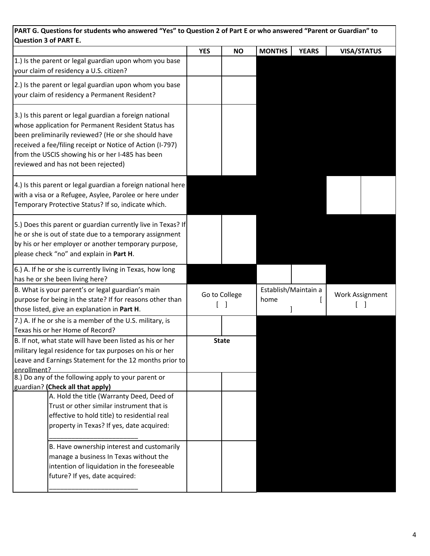| PART G. Questions for students who answered "Yes" to Question 2 of Part E or who answered "Parent or Guardian" to<br>Question 3 of PART E.                                                                                                                                                                                    |            |               |                              |              |                    |
|-------------------------------------------------------------------------------------------------------------------------------------------------------------------------------------------------------------------------------------------------------------------------------------------------------------------------------|------------|---------------|------------------------------|--------------|--------------------|
|                                                                                                                                                                                                                                                                                                                               | <b>YES</b> | <b>NO</b>     | <b>MONTHS</b>                | <b>YEARS</b> | <b>VISA/STATUS</b> |
| 1.) Is the parent or legal guardian upon whom you base<br>your claim of residency a U.S. citizen?                                                                                                                                                                                                                             |            |               |                              |              |                    |
| 2.) Is the parent or legal guardian upon whom you base<br>your claim of residency a Permanent Resident?                                                                                                                                                                                                                       |            |               |                              |              |                    |
| 3.) Is this parent or legal guardian a foreign national<br>whose application for Permanent Resident Status has<br>been preliminarily reviewed? (He or she should have<br>received a fee/filing receipt or Notice of Action (I-797)<br>from the USCIS showing his or her I-485 has been<br>reviewed and has not been rejected) |            |               |                              |              |                    |
| 4.) Is this parent or legal guardian a foreign national here<br>with a visa or a Refugee, Asylee, Parolee or here under<br>Temporary Protective Status? If so, indicate which.                                                                                                                                                |            |               |                              |              |                    |
| 5.) Does this parent or guardian currently live in Texas? If<br>he or she is out of state due to a temporary assignment<br>by his or her employer or another temporary purpose,<br>please check "no" and explain in Part H.                                                                                                   |            |               |                              |              |                    |
| 6.) A. If he or she is currently living in Texas, how long<br>has he or she been living here?                                                                                                                                                                                                                                 |            |               |                              |              |                    |
| B. What is your parent's or legal guardian's main<br>purpose for being in the state? If for reasons other than<br>those listed, give an explanation in Part H.                                                                                                                                                                |            | Go to College | Establish/Maintain a<br>home |              | Work Assignment    |
| 7.) A. If he or she is a member of the U.S. military, is<br>Texas his or her Home of Record?                                                                                                                                                                                                                                  |            |               |                              |              |                    |
| B. If not, what state will have been listed as his or her<br>military legal residence for tax purposes on his or her<br>Leave and Earnings Statement for the 12 months prior to<br>enrollment?                                                                                                                                |            | <b>State</b>  |                              |              |                    |
| 8.) Do any of the following apply to your parent or<br>guardian? (Check all that apply)                                                                                                                                                                                                                                       |            |               |                              |              |                    |
| A. Hold the title (Warranty Deed, Deed of<br>Trust or other similar instrument that is<br>effective to hold title) to residential real<br>property in Texas? If yes, date acquired:                                                                                                                                           |            |               |                              |              |                    |
| B. Have ownership interest and customarily<br>manage a business In Texas without the<br>intention of liquidation in the foreseeable<br>future? If yes, date acquired:                                                                                                                                                         |            |               |                              |              |                    |